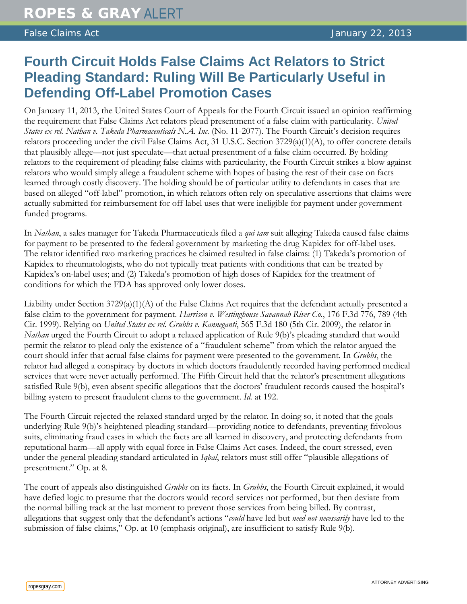## **Fourth Circuit Holds False Claims Act Relators to Strict Pleading Standard: Ruling Will Be Particularly Useful in Defending Off-Label Promotion Cases**

On January 11, 2013, the United States Court of Appeals for the Fourth Circuit issued an opinion reaffirming the requirement that False Claims Act relators plead presentment of a false claim with particularity. *United States ex rel. Nathan v. Takeda Pharmaceuticals N.A. Inc.* (No. 11-2077). The Fourth Circuit's decision requires relators proceeding under the civil False Claims Act, 31 U.S.C. Section  $3729(a)(1)(A)$ , to offer concrete details that plausibly allege—not just speculate—that actual presentment of a false claim occurred. By holding relators to the requirement of pleading false claims with particularity, the Fourth Circuit strikes a blow against relators who would simply allege a fraudulent scheme with hopes of basing the rest of their case on facts learned through costly discovery. The holding should be of particular utility to defendants in cases that are based on alleged "off-label" promotion, in which relators often rely on speculative assertions that claims were actually submitted for reimbursement for off-label uses that were ineligible for payment under governmentfunded programs.

In *Nathan*, a sales manager for Takeda Pharmaceuticals filed a *qui tam* suit alleging Takeda caused false claims for payment to be presented to the federal government by marketing the drug Kapidex for off-label uses. The relator identified two marketing practices he claimed resulted in false claims: (1) Takeda's promotion of Kapidex to rheumatologists, who do not typically treat patients with conditions that can be treated by Kapidex's on-label uses; and (2) Takeda's promotion of high doses of Kapidex for the treatment of conditions for which the FDA has approved only lower doses.

Liability under Section 3729(a)(1)(A) of the False Claims Act requires that the defendant actually presented a false claim to the government for payment. *Harrison v. Westinghouse Savannah River Co.*, 176 F.3d 776, 789 (4th Cir. 1999). Relying on *United States ex rel. Grubbs v. Kanneganti*, 565 F.3d 180 (5th Cir. 2009), the relator in *Nathan* urged the Fourth Circuit to adopt a relaxed application of Rule 9(b)'s pleading standard that would permit the relator to plead only the existence of a "fraudulent scheme" from which the relator argued the court should infer that actual false claims for payment were presented to the government. In *Grubbs*, the relator had alleged a conspiracy by doctors in which doctors fraudulently recorded having performed medical services that were never actually performed. The Fifth Circuit held that the relator's presentment allegations satisfied Rule 9(b), even absent specific allegations that the doctors' fraudulent records caused the hospital's billing system to present fraudulent clams to the government. *Id.* at 192.

The Fourth Circuit rejected the relaxed standard urged by the relator. In doing so, it noted that the goals underlying Rule 9(b)'s heightened pleading standard—providing notice to defendants, preventing frivolous suits, eliminating fraud cases in which the facts are all learned in discovery, and protecting defendants from reputational harm—all apply with equal force in False Claims Act cases. Indeed, the court stressed, even under the general pleading standard articulated in *Iqbal*, relators must still offer "plausible allegations of presentment." Op. at 8.

The court of appeals also distinguished *Grubbs* on its facts. In *Grubbs*, the Fourth Circuit explained, it would have defied logic to presume that the doctors would record services not performed, but then deviate from the normal billing track at the last moment to prevent those services from being billed. By contrast, allegations that suggest only that the defendant's actions "*could* have led but *need not necessarily* have led to the submission of false claims," Op. at 10 (emphasis original), are insufficient to satisfy Rule 9(b).